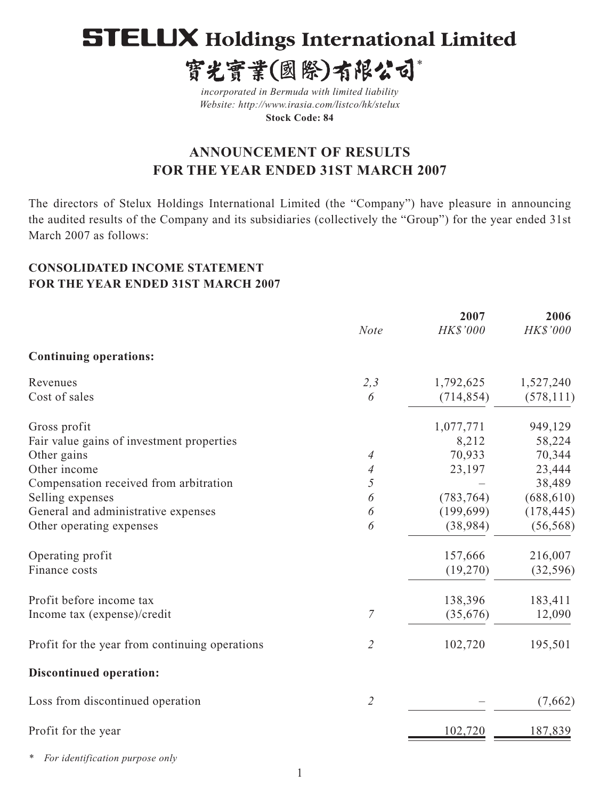# **STELUX Holdings International Limited**

寳光寳業(國際)有限公司\*

*incorporated in Bermuda with limited liability Website: http://www.irasia.com/listco/hk/stelux*  **Stock Code: 84**

# **ANNOUNCEMENT OF RESULTS FOR THE YEAR ENDED 31ST MARCH 2007**

The directors of Stelux Holdings International Limited (the "Company") have pleasure in announcing the audited results of the Company and its subsidiaries (collectively the "Group") for the year ended 31st March 2007 as follows:

# **CONSOLIDATED INCOME STATEMENT FOR THE YEAR ENDED 31ST MARCH 2007**

|                                                |                             | 2007       | 2006       |  |
|------------------------------------------------|-----------------------------|------------|------------|--|
|                                                | <b>Note</b>                 | HK\$'000   | HK\$'000   |  |
| <b>Continuing operations:</b>                  |                             |            |            |  |
| Revenues                                       | 2,3                         | 1,792,625  | 1,527,240  |  |
| Cost of sales                                  | 6                           | (714, 854) | (578, 111) |  |
| Gross profit                                   |                             | 1,077,771  | 949,129    |  |
| Fair value gains of investment properties      |                             | 8,212      | 58,224     |  |
| Other gains                                    | 4                           | 70,933     | 70,344     |  |
| Other income                                   | 4                           | 23,197     | 23,444     |  |
| Compensation received from arbitration         | 5                           |            | 38,489     |  |
| Selling expenses                               | 6                           | (783, 764) | (688, 610) |  |
| General and administrative expenses            | 6                           | (199, 699) | (178, 445) |  |
| Other operating expenses                       | 6                           | (38, 984)  | (56, 568)  |  |
| Operating profit                               |                             | 157,666    | 216,007    |  |
| Finance costs                                  |                             | (19,270)   | (32, 596)  |  |
| Profit before income tax                       |                             | 138,396    | 183,411    |  |
| Income tax (expense)/credit                    | 7                           | (35,676)   | 12,090     |  |
| Profit for the year from continuing operations | $\mathcal{Z}_{\mathcal{C}}$ | 102,720    | 195,501    |  |
| Discontinued operation:                        |                             |            |            |  |
| Loss from discontinued operation               | $\mathcal{L}_{\mathcal{L}}$ |            | (7,662)    |  |
| Profit for the year                            |                             | 102,720    | 187,839    |  |
|                                                |                             |            |            |  |

*\* For identification purpose only*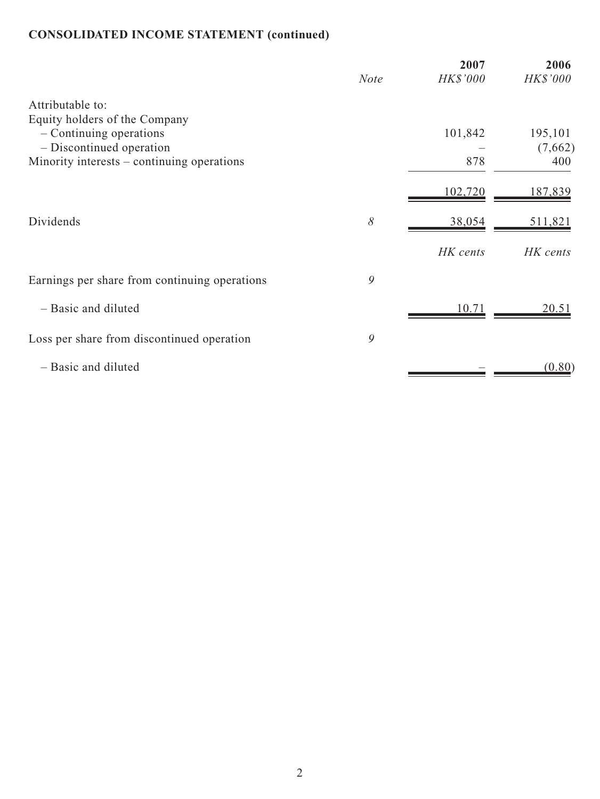# **CONSOLIDATED INCOME STATEMENT (continued)**

|                                                                        | <b>Note</b> | 2007<br>HK\$'000 | 2006<br>HK\$'000 |
|------------------------------------------------------------------------|-------------|------------------|------------------|
| Attributable to:                                                       |             |                  |                  |
| Equity holders of the Company<br>- Continuing operations               |             | 101,842          | 195,101          |
| - Discontinued operation<br>Minority interests – continuing operations |             | 878              | (7,662)<br>400   |
|                                                                        |             |                  |                  |
|                                                                        |             | 102,720          | 187,839          |
| Dividends                                                              | 8           | 38,054           | <u>511,821</u>   |
|                                                                        |             | HK cents         | HK cents         |
| Earnings per share from continuing operations                          | 9           |                  |                  |
| - Basic and diluted                                                    |             | 10.71            | 20.51            |
| Loss per share from discontinued operation                             | 9           |                  |                  |
| - Basic and diluted                                                    |             |                  | (0.80)           |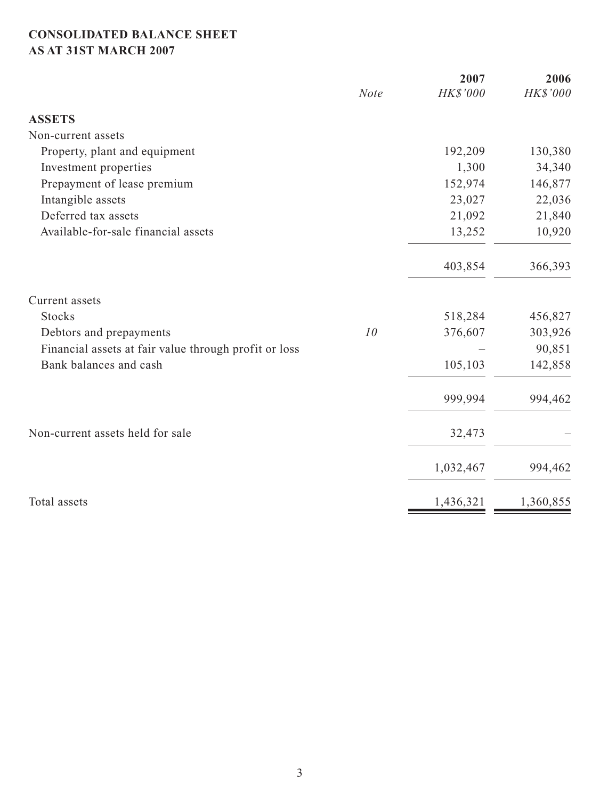# **CONSOLIDATED BALANCE SHEET AS AT 31ST MARCH 2007**

|                                                       | <b>Note</b> | 2007<br>HK\$'000 | 2006<br>HK\$'000 |
|-------------------------------------------------------|-------------|------------------|------------------|
|                                                       |             |                  |                  |
| <b>ASSETS</b>                                         |             |                  |                  |
| Non-current assets                                    |             |                  |                  |
| Property, plant and equipment                         |             | 192,209          | 130,380          |
| Investment properties                                 |             | 1,300            | 34,340           |
| Prepayment of lease premium                           |             | 152,974          | 146,877          |
| Intangible assets                                     |             | 23,027           | 22,036           |
| Deferred tax assets                                   |             | 21,092           | 21,840           |
| Available-for-sale financial assets                   |             | 13,252           | 10,920           |
|                                                       |             | 403,854          | 366,393          |
| Current assets                                        |             |                  |                  |
| <b>Stocks</b>                                         |             | 518,284          | 456,827          |
| Debtors and prepayments                               | 10          | 376,607          | 303,926          |
| Financial assets at fair value through profit or loss |             |                  | 90,851           |
| Bank balances and cash                                |             | 105,103          | 142,858          |
|                                                       |             | 999,994          | 994,462          |
| Non-current assets held for sale                      |             | 32,473           |                  |
|                                                       |             | 1,032,467        | 994,462          |
| Total assets                                          |             | 1,436,321        | 1,360,855        |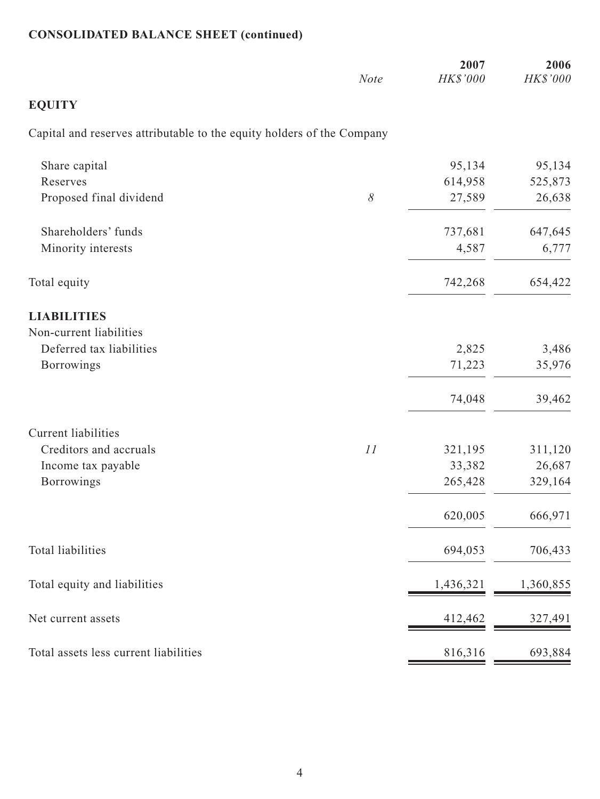# **CONSOLIDATED BALANCE SHEET (continued)**

|                                                                        | <b>Note</b> | 2007<br>HK\$'000 | 2006<br>HK\$'000 |
|------------------------------------------------------------------------|-------------|------------------|------------------|
|                                                                        |             |                  |                  |
| <b>EQUITY</b>                                                          |             |                  |                  |
| Capital and reserves attributable to the equity holders of the Company |             |                  |                  |
| Share capital                                                          |             | 95,134           | 95,134           |
| Reserves                                                               |             | 614,958          | 525,873          |
| Proposed final dividend                                                | $\delta$    | 27,589           | 26,638           |
| Shareholders' funds                                                    |             | 737,681          | 647,645          |
| Minority interests                                                     |             | 4,587            | 6,777            |
| Total equity                                                           |             | 742,268          | 654,422          |
| <b>LIABILITIES</b>                                                     |             |                  |                  |
| Non-current liabilities                                                |             |                  |                  |
| Deferred tax liabilities                                               |             | 2,825            | 3,486            |
| <b>Borrowings</b>                                                      |             | 71,223           | 35,976           |
|                                                                        |             | 74,048           | 39,462           |
| <b>Current liabilities</b>                                             |             |                  |                  |
| Creditors and accruals                                                 | 11          | 321,195          | 311,120          |
| Income tax payable                                                     |             | 33,382           | 26,687           |
| <b>Borrowings</b>                                                      |             | 265,428          | 329,164          |
|                                                                        |             | 620,005          | 666,971          |
| Total liabilities                                                      |             | 694,053          | 706,433          |
| Total equity and liabilities                                           |             | 1,436,321        | 1,360,855        |
| Net current assets                                                     |             | 412,462          | 327,491          |
| Total assets less current liabilities                                  |             | 816,316          | 693,884          |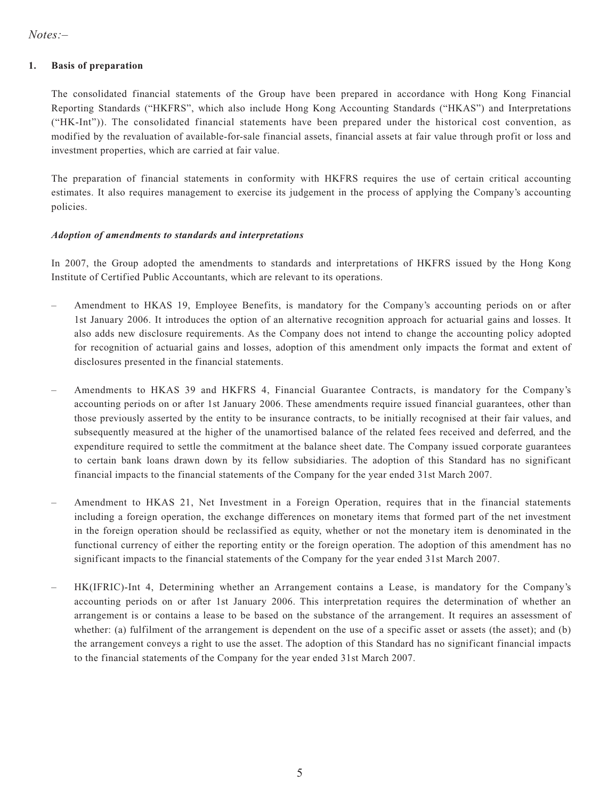#### **1. Basis of preparation**

The consolidated financial statements of the Group have been prepared in accordance with Hong Kong Financial Reporting Standards ("HKFRS", which also include Hong Kong Accounting Standards ("HKAS") and Interpretations ("HK-Int")). The consolidated financial statements have been prepared under the historical cost convention, as modified by the revaluation of available-for-sale financial assets, financial assets at fair value through profit or loss and investment properties, which are carried at fair value.

The preparation of financial statements in conformity with HKFRS requires the use of certain critical accounting estimates. It also requires management to exercise its judgement in the process of applying the Company's accounting policies.

#### *Adoption of amendments to standards and interpretations*

In 2007, the Group adopted the amendments to standards and interpretations of HKFRS issued by the Hong Kong Institute of Certified Public Accountants, which are relevant to its operations.

- Amendment to HKAS 19, Employee Benefits, is mandatory for the Company's accounting periods on or after 1st January 2006. It introduces the option of an alternative recognition approach for actuarial gains and losses. It also adds new disclosure requirements. As the Company does not intend to change the accounting policy adopted for recognition of actuarial gains and losses, adoption of this amendment only impacts the format and extent of disclosures presented in the financial statements.
- Amendments to HKAS 39 and HKFRS 4, Financial Guarantee Contracts, is mandatory for the Company's accounting periods on or after 1st January 2006. These amendments require issued financial guarantees, other than those previously asserted by the entity to be insurance contracts, to be initially recognised at their fair values, and subsequently measured at the higher of the unamortised balance of the related fees received and deferred, and the expenditure required to settle the commitment at the balance sheet date. The Company issued corporate guarantees to certain bank loans drawn down by its fellow subsidiaries. The adoption of this Standard has no significant financial impacts to the financial statements of the Company for the year ended 31st March 2007.
- Amendment to HKAS 21, Net Investment in a Foreign Operation, requires that in the financial statements including a foreign operation, the exchange differences on monetary items that formed part of the net investment in the foreign operation should be reclassified as equity, whether or not the monetary item is denominated in the functional currency of either the reporting entity or the foreign operation. The adoption of this amendment has no significant impacts to the financial statements of the Company for the year ended 31st March 2007.
- HK(IFRIC)-Int 4, Determining whether an Arrangement contains a Lease, is mandatory for the Company's accounting periods on or after 1st January 2006. This interpretation requires the determination of whether an arrangement is or contains a lease to be based on the substance of the arrangement. It requires an assessment of whether: (a) fulfilment of the arrangement is dependent on the use of a specific asset or assets (the asset); and (b) the arrangement conveys a right to use the asset. The adoption of this Standard has no significant financial impacts to the financial statements of the Company for the year ended 31st March 2007.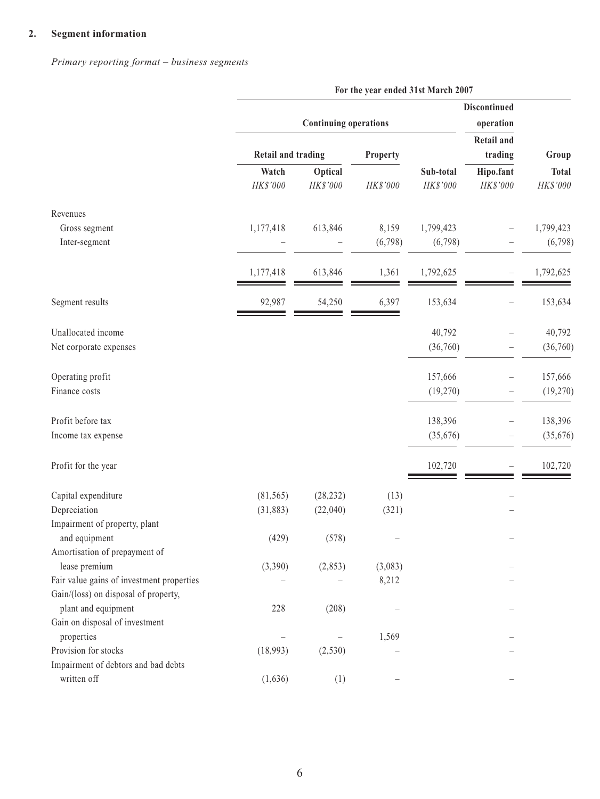# **2. Segment information**

*Primary reporting format – business segments*

|                                                    | For the year ended 31st March 2007 |                              |                  |                                  |                              |                          |
|----------------------------------------------------|------------------------------------|------------------------------|------------------|----------------------------------|------------------------------|--------------------------|
|                                                    |                                    | <b>Continuing operations</b> |                  | <b>Discontinued</b><br>operation |                              |                          |
|                                                    | <b>Retail and trading</b>          |                              | Property         |                                  | <b>Retail and</b><br>trading | Group                    |
|                                                    | Watch<br>HK\$'000                  | Optical<br>HK\$'000          | HK\$'000         | Sub-total<br>HK\$'000            | Hipo.fant<br>HK\$'000        | <b>Total</b><br>HK\$'000 |
| Revenues                                           |                                    |                              |                  |                                  |                              |                          |
| Gross segment<br>Inter-segment                     | 1,177,418                          | 613,846                      | 8,159<br>(6,798) | 1,799,423<br>(6,798)             |                              | 1,799,423<br>(6,798)     |
|                                                    |                                    |                              |                  |                                  |                              |                          |
|                                                    | 1,177,418                          | 613,846                      | 1,361            | 1,792,625                        |                              | 1,792,625                |
| Segment results                                    | 92,987                             | 54,250                       | 6,397            | 153,634                          | $\overline{\phantom{0}}$     | 153,634                  |
| Unallocated income                                 |                                    |                              |                  | 40,792                           |                              | 40,792                   |
| Net corporate expenses                             |                                    |                              |                  | (36,760)                         |                              | (36,760)                 |
| Operating profit                                   |                                    |                              |                  | 157,666                          |                              | 157,666                  |
| Finance costs                                      |                                    |                              |                  | (19,270)                         |                              | (19,270)                 |
| Profit before tax                                  |                                    |                              |                  | 138,396                          |                              | 138,396                  |
| Income tax expense                                 |                                    |                              |                  | (35,676)                         |                              | (35,676)                 |
| Profit for the year                                |                                    |                              |                  | 102,720                          | $\overline{\phantom{0}}$     | 102,720                  |
| Capital expenditure                                | (81, 565)                          | (28, 232)                    | (13)             |                                  |                              |                          |
| Depreciation                                       | (31, 883)                          | (22,040)                     | (321)            |                                  |                              |                          |
| Impairment of property, plant                      |                                    |                              |                  |                                  |                              |                          |
| and equipment                                      | (429)                              | (578)                        |                  |                                  |                              |                          |
| Amortisation of prepayment of                      |                                    |                              |                  |                                  |                              |                          |
| lease premium                                      | (3,390)                            | (2,853)                      | (3,083)          |                                  |                              |                          |
| Fair value gains of investment properties          |                                    |                              | 8,212            |                                  |                              |                          |
| Gain/(loss) on disposal of property,               |                                    |                              |                  |                                  |                              |                          |
| plant and equipment                                | 228                                | (208)                        |                  |                                  |                              |                          |
| Gain on disposal of investment                     |                                    |                              |                  |                                  |                              |                          |
| properties                                         | $\overbrace{\phantom{123221111}}$  |                              | 1,569            |                                  |                              |                          |
| Provision for stocks                               | (18,993)                           | (2, 530)                     |                  |                                  |                              |                          |
| Impairment of debtors and bad debts<br>written off |                                    |                              |                  |                                  |                              |                          |
|                                                    | (1,636)                            | (1)                          |                  |                                  |                              |                          |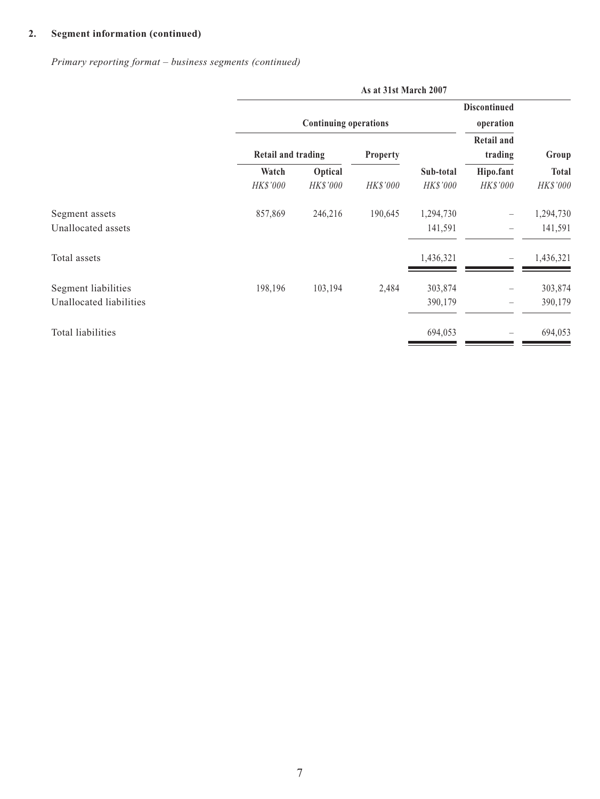*Primary reporting format – business segments (continued)*

|                         | As at 31st March 2007 |                              |          |           |                                |              |
|-------------------------|-----------------------|------------------------------|----------|-----------|--------------------------------|--------------|
|                         |                       |                              |          |           | <b>Discontinued</b>            |              |
|                         |                       | <b>Continuing operations</b> |          |           | operation                      |              |
|                         |                       |                              |          |           | <b>Retail and</b>              |              |
|                         | Retail and trading    |                              | Property |           | trading                        | Group        |
|                         | Watch                 | Optical                      |          | Sub-total | Hipo.fant                      | <b>Total</b> |
|                         | HK\$'000              | HK\$'000                     | HK\$'000 | HK\$'000  | HK\$'000                       | HK\$'000     |
| Segment assets          | 857,869               | 246,216                      | 190,645  | 1,294,730 | $\qquad \qquad \longleftarrow$ | 1,294,730    |
| Unallocated assets      |                       |                              |          | 141,591   |                                | 141,591      |
| Total assets            |                       |                              |          | 1,436,321 |                                | 1,436,321    |
| Segment liabilities     | 198,196               | 103,194                      | 2,484    | 303,874   | -                              | 303,874      |
| Unallocated liabilities |                       |                              |          | 390,179   |                                | 390,179      |
| Total liabilities       |                       |                              |          | 694,053   |                                | 694,053      |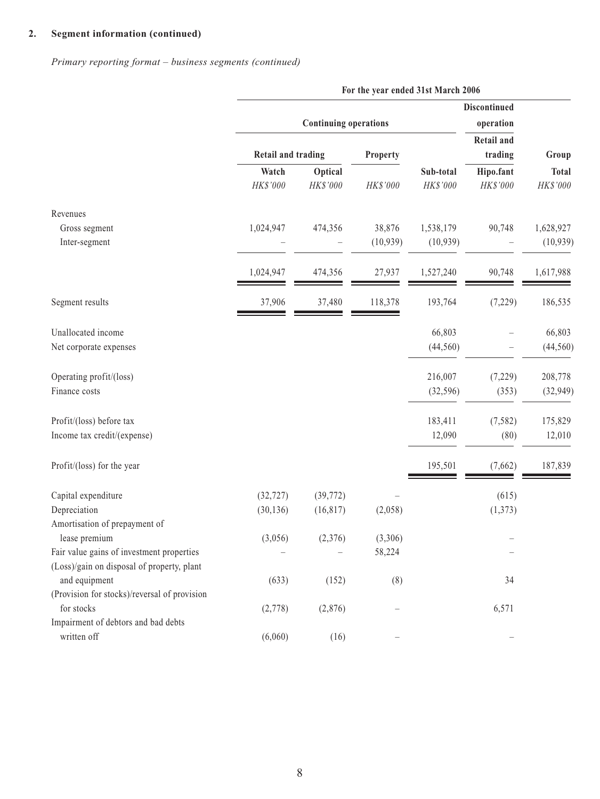*Primary reporting format – business segments (continued)*

|                                              | For the year ended 31st March 2006 |                              |           |                       |                       |                          |
|----------------------------------------------|------------------------------------|------------------------------|-----------|-----------------------|-----------------------|--------------------------|
|                                              |                                    |                              |           |                       | <b>Discontinued</b>   |                          |
|                                              |                                    | <b>Continuing operations</b> |           |                       | operation             |                          |
|                                              |                                    |                              |           |                       | <b>Retail and</b>     |                          |
|                                              | <b>Retail and trading</b>          |                              | Property  |                       | trading               | Group                    |
|                                              | Watch<br>HK\$'000                  | Optical<br>HK\$'000          | HK\$'000  | Sub-total<br>HK\$'000 | Hipo.fant<br>HK\$'000 | <b>Total</b><br>HK\$'000 |
| Revenues                                     |                                    |                              |           |                       |                       |                          |
| Gross segment                                | 1,024,947                          | 474,356                      | 38,876    | 1,538,179             | 90,748                | 1,628,927                |
| Inter-segment                                |                                    |                              | (10, 939) | (10, 939)             |                       | (10, 939)                |
|                                              | 1,024,947                          | 474,356                      | 27,937    | 1,527,240             | 90,748                | 1,617,988                |
| Segment results                              | 37,906                             | 37,480                       | 118,378   | 193,764               | (7,229)               | 186,535                  |
| Unallocated income                           |                                    |                              |           | 66,803                |                       | 66,803                   |
| Net corporate expenses                       |                                    |                              |           | (44, 560)             |                       | (44, 560)                |
| Operating profit/(loss)                      |                                    |                              |           | 216,007               | (7,229)               | 208,778                  |
| Finance costs                                |                                    |                              |           | (32, 596)             | (353)                 | (32, 949)                |
| Profit/(loss) before tax                     |                                    |                              |           | 183,411               | (7, 582)              | 175,829                  |
| Income tax credit/(expense)                  |                                    |                              |           | 12,090                | (80)                  | 12,010                   |
| Profit/(loss) for the year                   |                                    |                              |           | 195,501               | (7,662)               | 187,839                  |
| Capital expenditure                          | (32, 727)                          | (39, 772)                    |           |                       | (615)                 |                          |
| Depreciation                                 | (30, 136)                          | (16, 817)                    | (2,058)   |                       | (1, 373)              |                          |
| Amortisation of prepayment of                |                                    |                              |           |                       |                       |                          |
| lease premium                                | (3,056)                            | (2,376)                      | (3,306)   |                       |                       |                          |
| Fair value gains of investment properties    |                                    |                              | 58,224    |                       |                       |                          |
| (Loss)/gain on disposal of property, plant   |                                    |                              |           |                       |                       |                          |
| and equipment                                | (633)                              | (152)                        | (8)       |                       | 34                    |                          |
| (Provision for stocks)/reversal of provision |                                    |                              |           |                       |                       |                          |
| for stocks                                   | (2,778)                            | (2,876)                      |           |                       | 6,571                 |                          |
| Impairment of debtors and bad debts          |                                    |                              |           |                       |                       |                          |
| written off                                  | (6,060)                            | (16)                         |           |                       |                       |                          |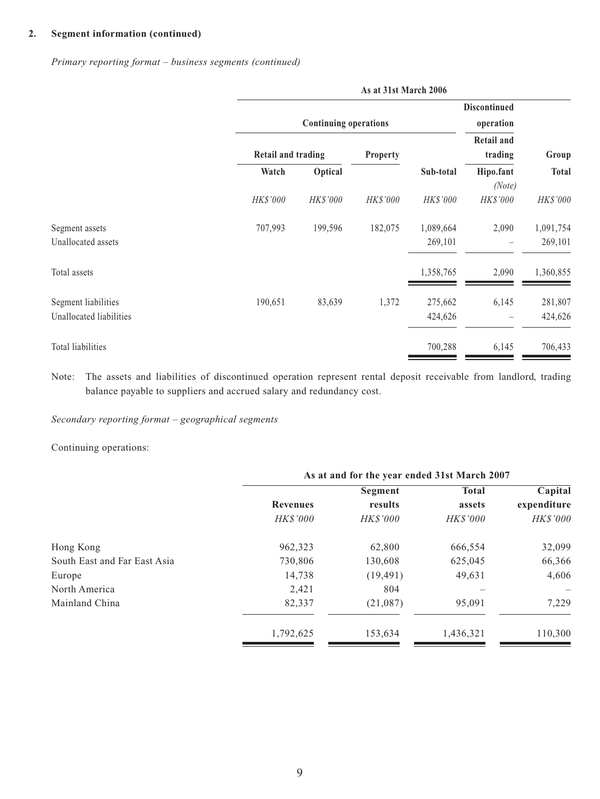*Primary reporting format – business segments (continued)*

|                                                | As at 31st March 2006 |                              |                 |                      |                                  |                      |
|------------------------------------------------|-----------------------|------------------------------|-----------------|----------------------|----------------------------------|----------------------|
|                                                |                       | <b>Continuing operations</b> |                 |                      | <b>Discontinued</b><br>operation |                      |
|                                                | Retail and trading    |                              | <b>Property</b> |                      | <b>Retail and</b><br>trading     | Group                |
|                                                | Watch                 | Optical                      |                 | Sub-total            | Hipo.fant<br>(Note)              | <b>Total</b>         |
|                                                | HK\$'000              | HK\$'000                     | HK\$'000        | HK\$'000             | HK\$'000                         | HK\$'000             |
| Segment assets<br>Unallocated assets           | 707,993               | 199,596                      | 182,075         | 1,089,664<br>269,101 | 2,090                            | 1,091,754<br>269,101 |
| Total assets                                   |                       |                              |                 | 1,358,765            | 2,090                            | 1,360,855            |
| Segment liabilities<br>Unallocated liabilities | 190,651               | 83,639                       | 1,372           | 275,662<br>424,626   | 6,145                            | 281,807<br>424,626   |
| Total liabilities                              |                       |                              |                 | 700,288              | 6,145                            | 706,433              |

Note: The assets and liabilities of discontinued operation represent rental deposit receivable from landlord, trading balance payable to suppliers and accrued salary and redundancy cost.

*Secondary reporting format – geographical segments*

Continuing operations:

|                              | As at and for the year ended 31st March 2007 |                 |                 |             |  |  |
|------------------------------|----------------------------------------------|-----------------|-----------------|-------------|--|--|
|                              |                                              | Segment         | <b>Total</b>    | Capital     |  |  |
|                              | <b>Revenues</b>                              | results         | assets          | expenditure |  |  |
|                              | <b>HK\$'000</b>                              | <b>HK\$'000</b> | <b>HK\$'000</b> | HK\$'000    |  |  |
| Hong Kong                    | 962,323                                      | 62,800          | 666,554         | 32,099      |  |  |
| South East and Far East Asia | 730,806                                      | 130,608         | 625,045         | 66,366      |  |  |
| Europe                       | 14,738                                       | (19, 491)       | 49,631          | 4,606       |  |  |
| North America                | 2,421                                        | 804             |                 |             |  |  |
| Mainland China               | 82,337                                       | (21,087)        | 95,091          | 7,229       |  |  |
|                              | 1,792,625                                    | 153,634         | 1,436,321       | 110,300     |  |  |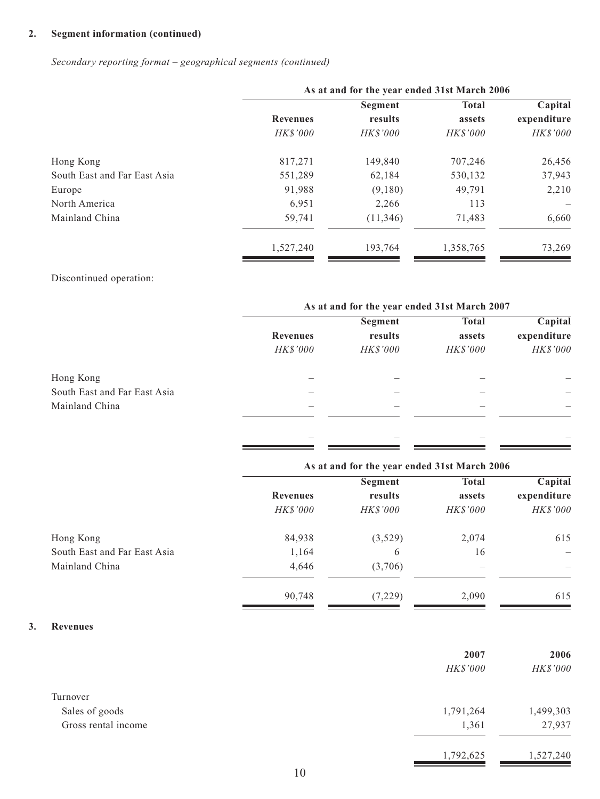*Secondary reporting format – geographical segments (continued)*

| As at and for the year ended 31st March 2006 |                 |                 |             |  |  |
|----------------------------------------------|-----------------|-----------------|-------------|--|--|
|                                              | Segment         | <b>Total</b>    | Capital     |  |  |
| <b>Revenues</b>                              | results         | assets          | expenditure |  |  |
| <b>HK\$'000</b>                              | <b>HK\$'000</b> | <b>HK\$'000</b> | HK\$'000    |  |  |
| 817,271                                      | 149,840         | 707,246         | 26,456      |  |  |
| 551,289                                      | 62,184          | 530,132         | 37,943      |  |  |
| 91,988                                       | (9,180)         | 49,791          | 2,210       |  |  |
| 6,951                                        | 2,266           | 113             |             |  |  |
| 59,741                                       | (11, 346)       | 71,483          | 6,660       |  |  |
| 1,527,240                                    | 193,764         | 1,358,765       | 73,269      |  |  |
|                                              |                 |                 |             |  |  |

#### Discontinued operation:

|                              | As at and for the year ended 31st March 2007 |                 |                 |             |  |
|------------------------------|----------------------------------------------|-----------------|-----------------|-------------|--|
|                              |                                              | Segment         | <b>Total</b>    | Capital     |  |
|                              | <b>Revenues</b>                              | results         | assets          | expenditure |  |
|                              | <b>HK\$'000</b>                              | <b>HK\$'000</b> | <b>HK\$'000</b> | HK\$'000    |  |
| Hong Kong                    |                                              |                 |                 |             |  |
| South East and Far East Asia |                                              |                 |                 |             |  |
| Mainland China               |                                              |                 |                 |             |  |
|                              |                                              |                 |                 |             |  |
|                              |                                              |                 |                 |             |  |

|                              | As at and for the year ended 31st March 2006 |                 |                 |                          |  |
|------------------------------|----------------------------------------------|-----------------|-----------------|--------------------------|--|
|                              |                                              | Segment         | <b>Total</b>    | Capital                  |  |
|                              | <b>Revenues</b>                              | results         | assets          | expenditure              |  |
|                              | <i>HK\$'000</i>                              | <b>HK\$'000</b> | <i>HK\$'000</i> | HK\$'000                 |  |
| Hong Kong                    | 84,938                                       | (3,529)         | 2,074           | 615                      |  |
| South East and Far East Asia | 1,164                                        | 6               | 16              | $\overline{\phantom{m}}$ |  |
| Mainland China               | 4,646                                        | (3,706)         | —               |                          |  |
|                              | 90,748                                       | (7,229)         | 2,090           | 615                      |  |

#### **3. Revenues**

|                     | 2007      | 2006      |
|---------------------|-----------|-----------|
|                     | HK\$'000  | HK\$'000  |
| Turnover            |           |           |
| Sales of goods      | 1,791,264 | 1,499,303 |
| Gross rental income | 1,361     | 27,937    |
|                     | 1,792,625 | 1,527,240 |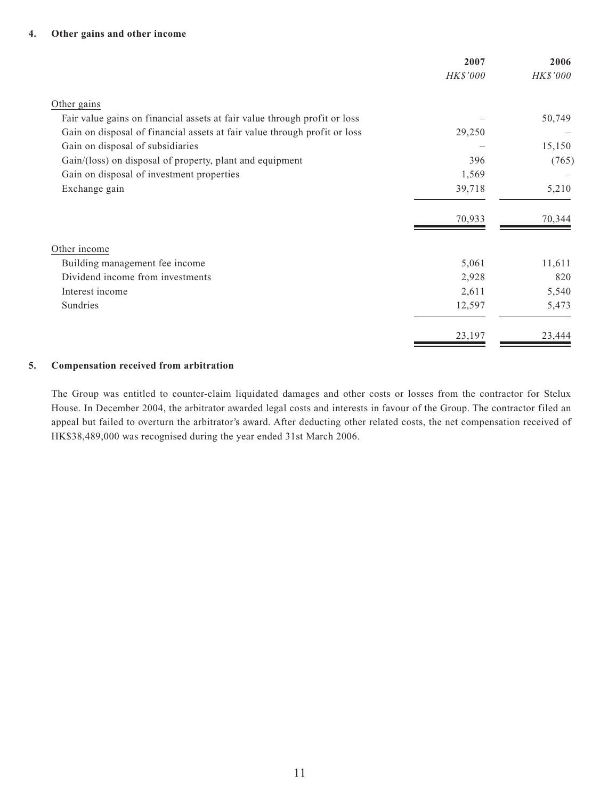#### **4. Other gains and other income**

|                                                                           | 2007     | 2006     |
|---------------------------------------------------------------------------|----------|----------|
|                                                                           | HK\$'000 | HK\$'000 |
| Other gains                                                               |          |          |
| Fair value gains on financial assets at fair value through profit or loss |          | 50,749   |
| Gain on disposal of financial assets at fair value through profit or loss | 29,250   |          |
| Gain on disposal of subsidiaries                                          |          | 15,150   |
| Gain/(loss) on disposal of property, plant and equipment                  | 396      | (765)    |
| Gain on disposal of investment properties                                 | 1,569    |          |
| Exchange gain                                                             | 39,718   | 5,210    |
|                                                                           | 70,933   | 70,344   |
| Other income                                                              |          |          |
| Building management fee income                                            | 5,061    | 11,611   |
| Dividend income from investments                                          | 2,928    | 820      |
| Interest income                                                           | 2,611    | 5,540    |
| Sundries                                                                  | 12,597   | 5,473    |
|                                                                           | 23,197   | 23,444   |

#### **5. Compensation received from arbitration**

The Group was entitled to counter-claim liquidated damages and other costs or losses from the contractor for Stelux House. In December 2004, the arbitrator awarded legal costs and interests in favour of the Group. The contractor filed an appeal but failed to overturn the arbitrator's award. After deducting other related costs, the net compensation received of HK\$38,489,000 was recognised during the year ended 31st March 2006.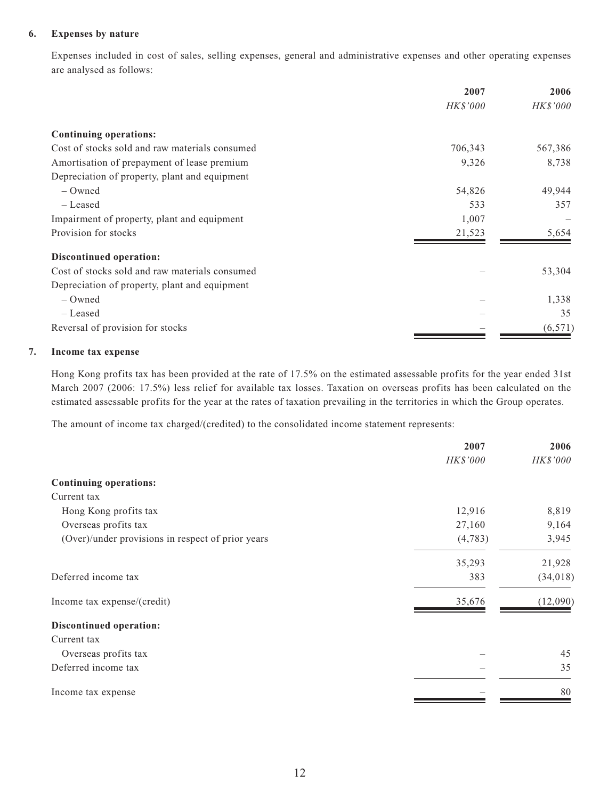#### **6. Expenses by nature**

Expenses included in cost of sales, selling expenses, general and administrative expenses and other operating expenses are analysed as follows:

|                                                | 2007<br><b>HK\$'000</b> | 2006<br>HK\$'000 |
|------------------------------------------------|-------------------------|------------------|
|                                                |                         |                  |
| <b>Continuing operations:</b>                  |                         |                  |
| Cost of stocks sold and raw materials consumed | 706,343                 | 567,386          |
| Amortisation of prepayment of lease premium    | 9,326                   | 8,738            |
| Depreciation of property, plant and equipment  |                         |                  |
| $-$ Owned                                      | 54,826                  | 49,944           |
| – Leased                                       | 533                     | 357              |
| Impairment of property, plant and equipment    | 1,007                   |                  |
| Provision for stocks                           | 21,523                  | 5,654            |
| <b>Discontinued operation:</b>                 |                         |                  |
| Cost of stocks sold and raw materials consumed |                         | 53,304           |
| Depreciation of property, plant and equipment  |                         |                  |
| $-$ Owned                                      |                         | 1,338            |
| - Leased                                       |                         | 35               |
| Reversal of provision for stocks               |                         | (6,571)          |

#### **7. Income tax expense**

Hong Kong profits tax has been provided at the rate of 17.5% on the estimated assessable profits for the year ended 31st March 2007 (2006: 17.5%) less relief for available tax losses. Taxation on overseas profits has been calculated on the estimated assessable profits for the year at the rates of taxation prevailing in the territories in which the Group operates.

The amount of income tax charged/(credited) to the consolidated income statement represents:

|                                                   | 2007     | 2006      |
|---------------------------------------------------|----------|-----------|
|                                                   | HK\$'000 | HK\$'000  |
| <b>Continuing operations:</b>                     |          |           |
| Current tax                                       |          |           |
| Hong Kong profits tax                             | 12,916   | 8,819     |
| Overseas profits tax                              | 27,160   | 9,164     |
| (Over)/under provisions in respect of prior years | (4,783)  | 3,945     |
|                                                   | 35,293   | 21,928    |
| Deferred income tax                               | 383      | (34, 018) |
| Income tax expense/(credit)                       | 35,676   | (12,090)  |
| <b>Discontinued operation:</b>                    |          |           |
| Current tax                                       |          |           |
| Overseas profits tax                              |          | 45        |
| Deferred income tax                               |          | 35        |
| Income tax expense                                |          | 80        |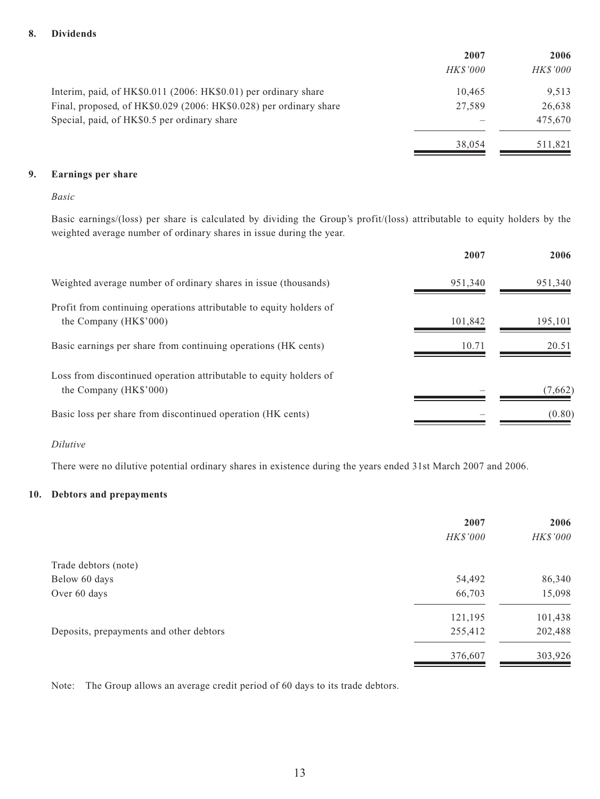#### **8. Dividends**

|                                                                    | 2007            | 2006            |
|--------------------------------------------------------------------|-----------------|-----------------|
|                                                                    | <i>HK\$'000</i> | <i>HK\$'000</i> |
| Interim, paid, of HK\$0.011 (2006: HK\$0.01) per ordinary share    | 10.465          | 9.513           |
| Final, proposed, of HK\$0.029 (2006: HK\$0.028) per ordinary share | 27,589          | 26,638          |
| Special, paid, of HK\$0.5 per ordinary share                       |                 | 475,670         |
|                                                                    | 38,054          | 511,821         |

#### **9. Earnings per share**

#### *Basic*

Basic earnings/(loss) per share is calculated by dividing the Group's profit/(loss) attributable to equity holders by the weighted average number of ordinary shares in issue during the year.

|                                                                                               | 2007    | 2006    |
|-----------------------------------------------------------------------------------------------|---------|---------|
| Weighted average number of ordinary shares in issue (thousands)                               | 951,340 | 951,340 |
| Profit from continuing operations attributable to equity holders of<br>the Company (HK\$'000) | 101,842 | 195,101 |
| Basic earnings per share from continuing operations (HK cents)                                | 10.71   | 20.51   |
| Loss from discontinued operation attributable to equity holders of<br>the Company (HK\$'000)  |         | (7,662) |
| Basic loss per share from discontinued operation (HK cents)                                   |         | (0.80)  |

#### *Dilutive*

There were no dilutive potential ordinary shares in existence during the years ended 31st March 2007 and 2006.

#### **10. Debtors and prepayments**

|                                         | 2007            | 2006     |
|-----------------------------------------|-----------------|----------|
|                                         | <i>HK\$'000</i> | HK\$'000 |
| Trade debtors (note)                    |                 |          |
| Below 60 days                           | 54,492          | 86,340   |
| Over 60 days                            | 66,703          | 15,098   |
|                                         | 121,195         | 101,438  |
| Deposits, prepayments and other debtors | 255,412         | 202,488  |
|                                         | 376,607         | 303,926  |

Note: The Group allows an average credit period of 60 days to its trade debtors.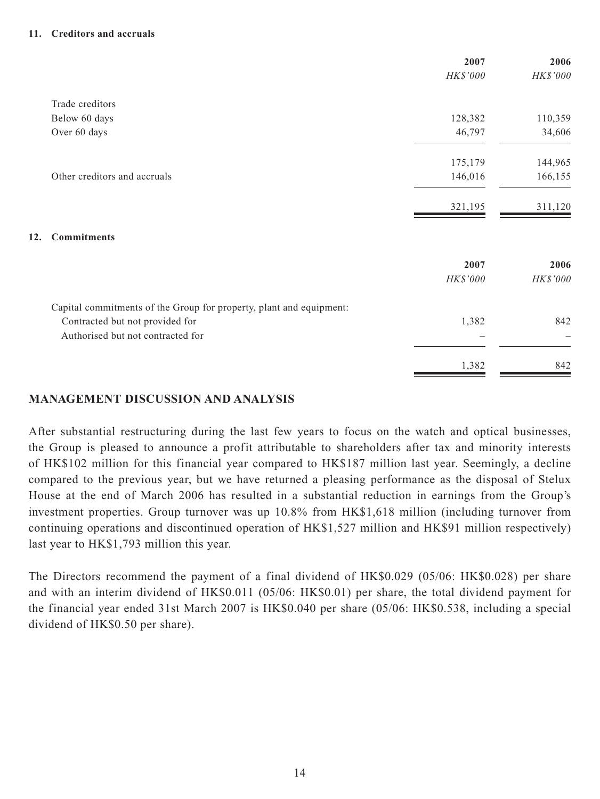#### **11. Creditors and accruals**

|                                                                     | 2007     | 2006     |
|---------------------------------------------------------------------|----------|----------|
|                                                                     | HK\$'000 | HK\$'000 |
| Trade creditors                                                     |          |          |
| Below 60 days                                                       | 128,382  | 110,359  |
| Over 60 days                                                        | 46,797   | 34,606   |
|                                                                     | 175,179  | 144,965  |
| Other creditors and accruals                                        | 146,016  | 166,155  |
|                                                                     | 321,195  | 311,120  |
| <b>Commitments</b><br>12.                                           |          |          |
|                                                                     | 2007     | 2006     |
|                                                                     | HK\$'000 | HK\$'000 |
| Capital commitments of the Group for property, plant and equipment: |          |          |
| Contracted but not provided for                                     | 1,382    | 842      |
| Authorised but not contracted for                                   |          |          |
|                                                                     | 1,382    | 842      |

# **MANAGEMENT DISCUSSION AND ANALYSIS**

After substantial restructuring during the last few years to focus on the watch and optical businesses, the Group is pleased to announce a profit attributable to shareholders after tax and minority interests of HK\$102 million for this financial year compared to HK\$187 million last year. Seemingly, a decline compared to the previous year, but we have returned a pleasing performance as the disposal of Stelux House at the end of March 2006 has resulted in a substantial reduction in earnings from the Group's investment properties. Group turnover was up 10.8% from HK\$1,618 million (including turnover from continuing operations and discontinued operation of HK\$1,527 million and HK\$91 million respectively) last year to HK\$1,793 million this year.

The Directors recommend the payment of a final dividend of HK\$0.029 (05/06: HK\$0.028) per share and with an interim dividend of HK\$0.011 (05/06: HK\$0.01) per share, the total dividend payment for the financial year ended 31st March 2007 is HK\$0.040 per share (05/06: HK\$0.538, including a special dividend of HK\$0.50 per share).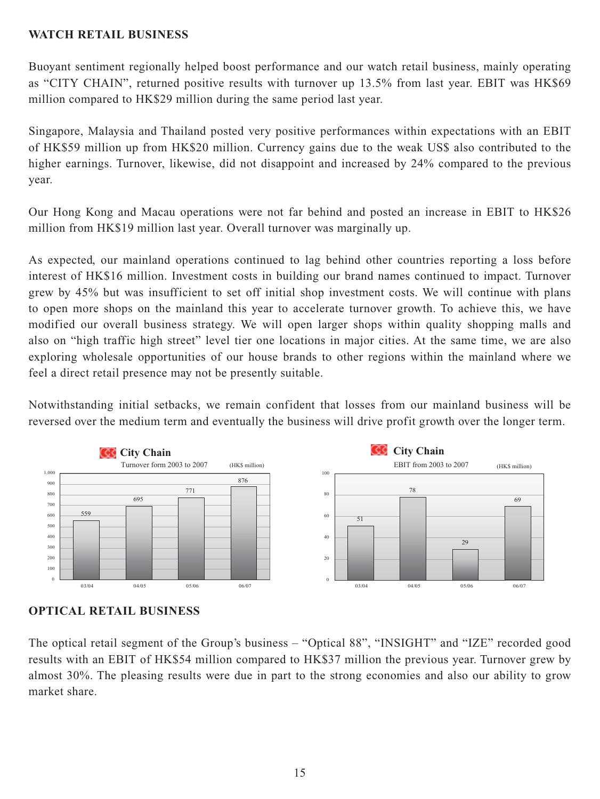# **WATCH RETAIL BUSINESS**

Buoyant sentiment regionally helped boost performance and our watch retail business, mainly operating as "CITY CHAIN", returned positive results with turnover up 13.5% from last year. EBIT was HK\$69 million compared to HK\$29 million during the same period last year.

Singapore, Malaysia and Thailand posted very positive performances within expectations with an EBIT of HK\$59 million up from HK\$20 million. Currency gains due to the weak US\$ also contributed to the higher earnings. Turnover, likewise, did not disappoint and increased by 24% compared to the previous year.

Our Hong Kong and Macau operations were not far behind and posted an increase in EBIT to HK\$26 million from HK\$19 million last year. Overall turnover was marginally up.

As expected, our mainland operations continued to lag behind other countries reporting a loss before interest of HK\$16 million. Investment costs in building our brand names continued to impact. Turnover grew by 45% but was insufficient to set off initial shop investment costs. We will continue with plans to open more shops on the mainland this year to accelerate turnover growth. To achieve this, we have modified our overall business strategy. We will open larger shops within quality shopping malls and also on "high traffic high street" level tier one locations in major cities. At the same time, we are also exploring wholesale opportunities of our house brands to other regions within the mainland where we feel a direct retail presence may not be presently suitable.

Notwithstanding initial setbacks, we remain confident that losses from our mainland business will be reversed over the medium term and eventually the business will drive profit growth over the longer term.





The optical retail segment of the Group's business – "Optical 88", "INSIGHT" and "IZE" recorded good results with an EBIT of HK\$54 million compared to HK\$37 million the previous year. Turnover grew by almost 30%. The pleasing results were due in part to the strong economies and also our ability to grow market share.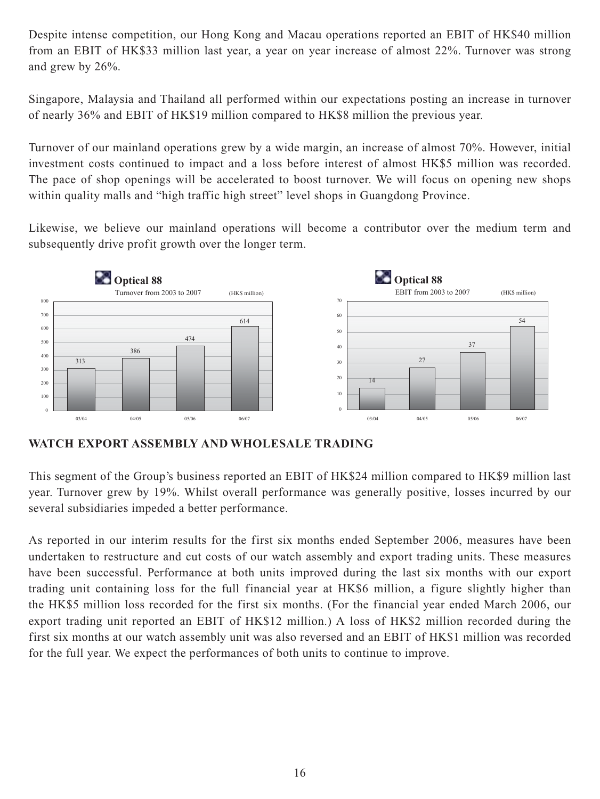Despite intense competition, our Hong Kong and Macau operations reported an EBIT of HK\$40 million from an EBIT of HK\$33 million last year, a year on year increase of almost 22%. Turnover was strong and grew by 26%.

Singapore, Malaysia and Thailand all performed within our expectations posting an increase in turnover of nearly 36% and EBIT of HK\$19 million compared to HK\$8 million the previous year.

Turnover of our mainland operations grew by a wide margin, an increase of almost 70%. However, initial investment costs continued to impact and a loss before interest of almost HK\$5 million was recorded. The pace of shop openings will be accelerated to boost turnover. We will focus on opening new shops within quality malls and "high traffic high street" level shops in Guangdong Province.

Likewise, we believe our mainland operations will become a contributor over the medium term and subsequently drive profit growth over the longer term.



**WATCH EXPORT ASSEMBLY AND WHOLESALE TRADING**

This segment of the Group's business reported an EBIT of HK\$24 million compared to HK\$9 million last year. Turnover grew by 19%. Whilst overall performance was generally positive, losses incurred by our several subsidiaries impeded a better performance.

As reported in our interim results for the first six months ended September 2006, measures have been undertaken to restructure and cut costs of our watch assembly and export trading units. These measures have been successful. Performance at both units improved during the last six months with our export trading unit containing loss for the full financial year at HK\$6 million, a figure slightly higher than the HK\$5 million loss recorded for the first six months. (For the financial year ended March 2006, our export trading unit reported an EBIT of HK\$12 million.) A loss of HK\$2 million recorded during the first six months at our watch assembly unit was also reversed and an EBIT of HK\$1 million was recorded for the full year. We expect the performances of both units to continue to improve.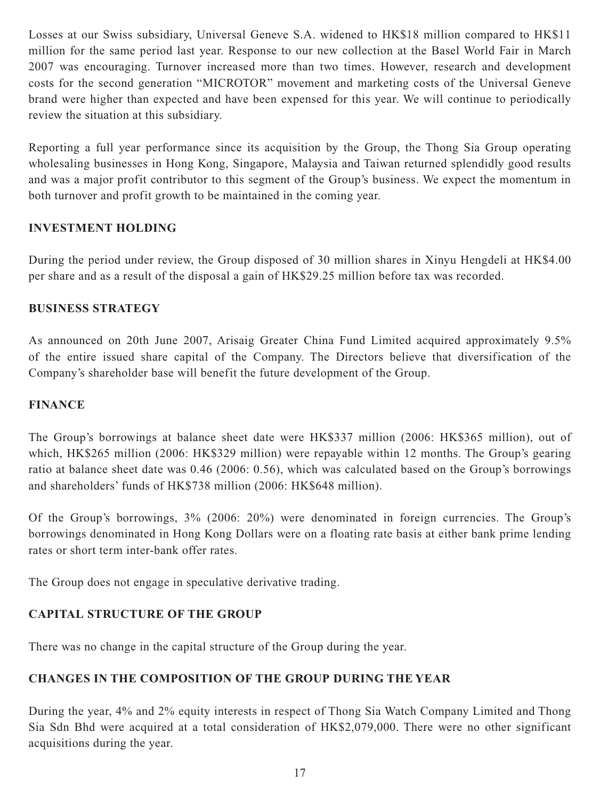Losses at our Swiss subsidiary, Universal Geneve S.A. widened to HK\$18 million compared to HK\$11 million for the same period last year. Response to our new collection at the Basel World Fair in March 2007 was encouraging. Turnover increased more than two times. However, research and development costs for the second generation "MICROTOR" movement and marketing costs of the Universal Geneve brand were higher than expected and have been expensed for this year. We will continue to periodically review the situation at this subsidiary.

Reporting a full year performance since its acquisition by the Group, the Thong Sia Group operating wholesaling businesses in Hong Kong, Singapore, Malaysia and Taiwan returned splendidly good results and was a major profit contributor to this segment of the Group's business. We expect the momentum in both turnover and profit growth to be maintained in the coming year.

# **INVESTMENT HOLDING**

During the period under review, the Group disposed of 30 million shares in Xinyu Hengdeli at HK\$4.00 per share and as a result of the disposal a gain of HK\$29.25 million before tax was recorded.

# **BUSINESS STRATEGY**

As announced on 20th June 2007, Arisaig Greater China Fund Limited acquired approximately 9.5% of the entire issued share capital of the Company. The Directors believe that diversification of the Company's shareholder base will benefit the future development of the Group.

# **FINANCE**

The Group's borrowings at balance sheet date were HK\$337 million (2006: HK\$365 million), out of which, HK\$265 million (2006: HK\$329 million) were repayable within 12 months. The Group's gearing ratio at balance sheet date was 0.46 (2006: 0.56), which was calculated based on the Group's borrowings and shareholders' funds of HK\$738 million (2006: HK\$648 million).

Of the Group's borrowings, 3% (2006: 20%) were denominated in foreign currencies. The Group's borrowings denominated in Hong Kong Dollars were on a floating rate basis at either bank prime lending rates or short term inter-bank offer rates.

The Group does not engage in speculative derivative trading.

# **CAPITAL STRUCTURE OF THE GROUP**

There was no change in the capital structure of the Group during the year.

# **CHANGES IN THE COMPOSITION OF THE GROUP DURING THE YEAR**

During the year, 4% and 2% equity interests in respect of Thong Sia Watch Company Limited and Thong Sia Sdn Bhd were acquired at a total consideration of HK\$2,079,000. There were no other significant acquisitions during the year.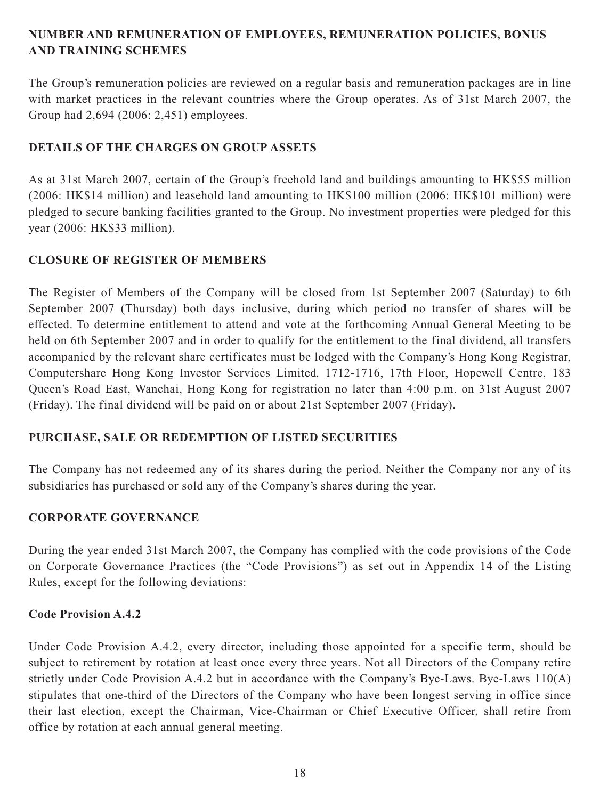# **NUMBER AND REMUNERATION OF EMPLOYEES, REMUNERATION POLICIES, BONUS AND TRAINING SCHEMES**

The Group's remuneration policies are reviewed on a regular basis and remuneration packages are in line with market practices in the relevant countries where the Group operates. As of 31st March 2007, the Group had 2,694 (2006: 2,451) employees.

# **DETAILS OF THE CHARGES ON GROUP ASSETS**

As at 31st March 2007, certain of the Group's freehold land and buildings amounting to HK\$55 million (2006: HK\$14 million) and leasehold land amounting to HK\$100 million (2006: HK\$101 million) were pledged to secure banking facilities granted to the Group. No investment properties were pledged for this year (2006: HK\$33 million).

# **CLOSURE OF REGISTER OF MEMBERS**

The Register of Members of the Company will be closed from 1st September 2007 (Saturday) to 6th September 2007 (Thursday) both days inclusive, during which period no transfer of shares will be effected. To determine entitlement to attend and vote at the forthcoming Annual General Meeting to be held on 6th September 2007 and in order to qualify for the entitlement to the final dividend, all transfers accompanied by the relevant share certificates must be lodged with the Company's Hong Kong Registrar, Computershare Hong Kong Investor Services Limited, 1712-1716, 17th Floor, Hopewell Centre, 183 Queen's Road East, Wanchai, Hong Kong for registration no later than 4:00 p.m. on 31st August 2007 (Friday). The final dividend will be paid on or about 21st September 2007 (Friday).

# **PURCHASE, SALE OR REDEMPTION OF LISTED SECURITIES**

The Company has not redeemed any of its shares during the period. Neither the Company nor any of its subsidiaries has purchased or sold any of the Company's shares during the year.

# **CORPORATE GOVERNANCE**

During the year ended 31st March 2007, the Company has complied with the code provisions of the Code on Corporate Governance Practices (the "Code Provisions") as set out in Appendix 14 of the Listing Rules, except for the following deviations:

# **Code Provision A.4.2**

Under Code Provision A.4.2, every director, including those appointed for a specific term, should be subject to retirement by rotation at least once every three years. Not all Directors of the Company retire strictly under Code Provision A.4.2 but in accordance with the Company's Bye-Laws. Bye-Laws 110(A) stipulates that one-third of the Directors of the Company who have been longest serving in office since their last election, except the Chairman, Vice-Chairman or Chief Executive Officer, shall retire from office by rotation at each annual general meeting.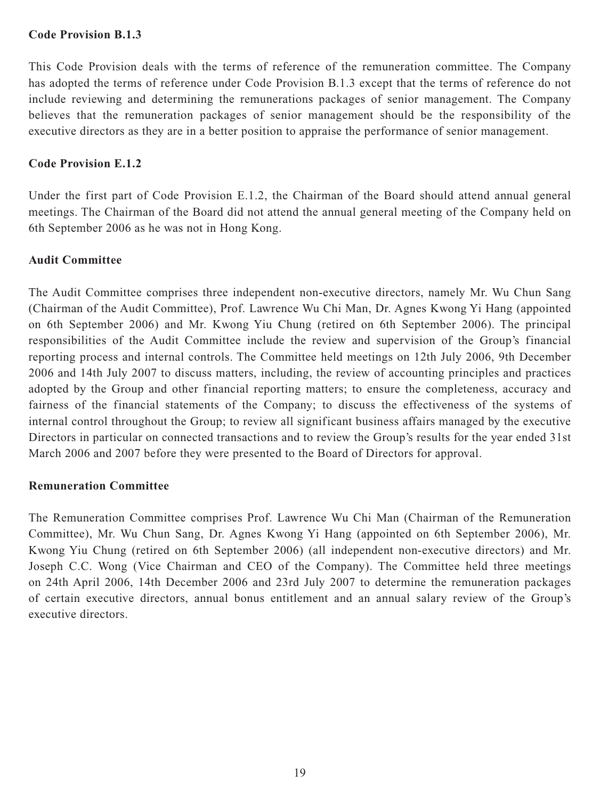# **Code Provision B.1.3**

This Code Provision deals with the terms of reference of the remuneration committee. The Company has adopted the terms of reference under Code Provision B.1.3 except that the terms of reference do not include reviewing and determining the remunerations packages of senior management. The Company believes that the remuneration packages of senior management should be the responsibility of the executive directors as they are in a better position to appraise the performance of senior management.

# **Code Provision E.1.2**

Under the first part of Code Provision E.1.2, the Chairman of the Board should attend annual general meetings. The Chairman of the Board did not attend the annual general meeting of the Company held on 6th September 2006 as he was not in Hong Kong.

# **Audit Committee**

The Audit Committee comprises three independent non-executive directors, namely Mr. Wu Chun Sang (Chairman of the Audit Committee), Prof. Lawrence Wu Chi Man, Dr. Agnes Kwong Yi Hang (appointed on 6th September 2006) and Mr. Kwong Yiu Chung (retired on 6th September 2006). The principal responsibilities of the Audit Committee include the review and supervision of the Group's financial reporting process and internal controls. The Committee held meetings on 12th July 2006, 9th December 2006 and 14th July 2007 to discuss matters, including, the review of accounting principles and practices adopted by the Group and other financial reporting matters; to ensure the completeness, accuracy and fairness of the financial statements of the Company; to discuss the effectiveness of the systems of internal control throughout the Group; to review all significant business affairs managed by the executive Directors in particular on connected transactions and to review the Group's results for the year ended 31st March 2006 and 2007 before they were presented to the Board of Directors for approval.

### **Remuneration Committee**

The Remuneration Committee comprises Prof. Lawrence Wu Chi Man (Chairman of the Remuneration Committee), Mr. Wu Chun Sang, Dr. Agnes Kwong Yi Hang (appointed on 6th September 2006), Mr. Kwong Yiu Chung (retired on 6th September 2006) (all independent non-executive directors) and Mr. Joseph C.C. Wong (Vice Chairman and CEO of the Company). The Committee held three meetings on 24th April 2006, 14th December 2006 and 23rd July 2007 to determine the remuneration packages of certain executive directors, annual bonus entitlement and an annual salary review of the Group's executive directors.